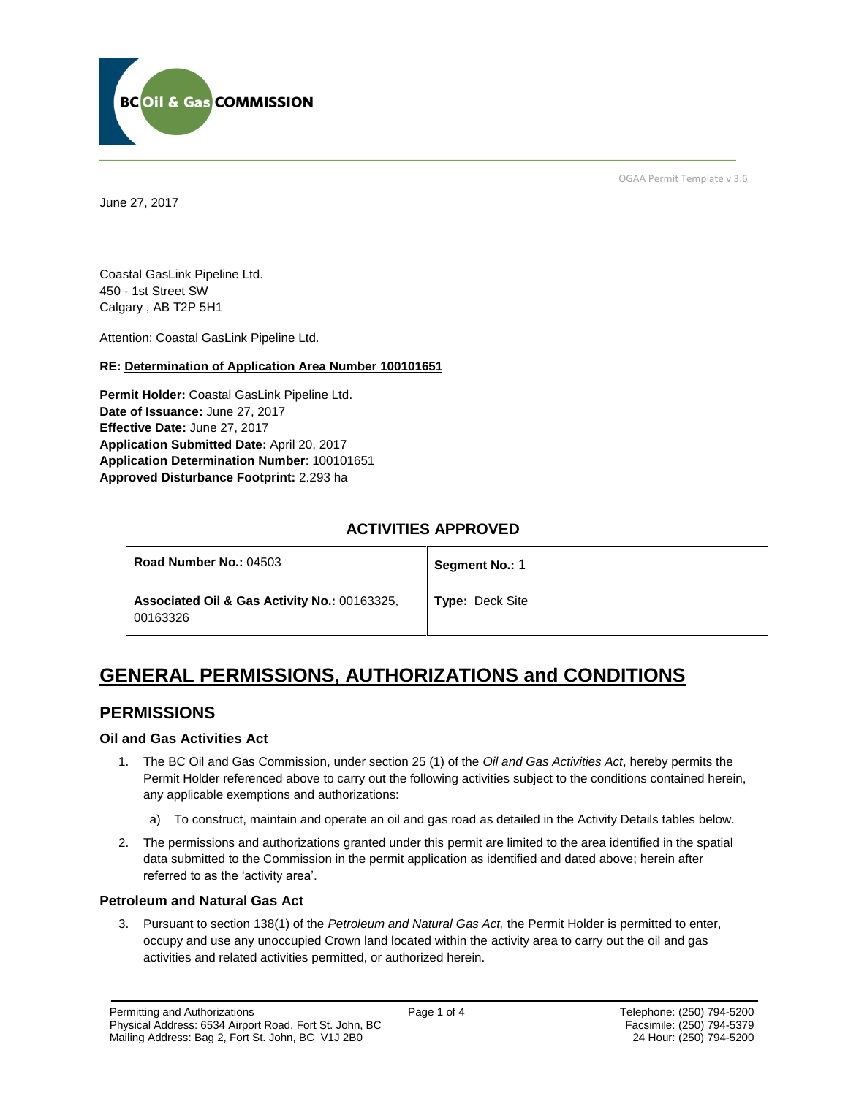

OGAA Permit Template v 3.6

June 27, 2017

Coastal GasLink Pipeline Ltd. 450 - 1st Street SW Calgary , AB T2P 5H1

[Attention:](#page-0-0) Coastal GasLink Pipeline Ltd.

#### **RE: Determination of Application Area Number 100101651**

**[Permit Holder:](#page-0-0)** Coastal GasLink Pipeline Ltd. [Date of Issuance:](#page-0-0) June 27, 2017 **Effective Date:** June 27, 2017 **[Application Submitted Date:](#page-0-0)** April 20, 2017 **[Application Determination Number](#page-0-0)**: 100101651 **Approved Disturbance Footprint:** 2.293 ha

## **ACTIVITIES APPROVED**

| <b>Road Number No.: 04503</b>                            | Segment No.: 1         |
|----------------------------------------------------------|------------------------|
| Associated Oil & Gas Activity No.: 00163325.<br>00163326 | <b>Type: Deck Site</b> |

# **GENERAL PERMISSIONS, AUTHORIZATIONS and CONDITIONS**

## **PERMISSIONS**

#### **Oil and Gas Activities Act**

- <span id="page-0-0"></span>1. The BC Oil and Gas Commission, under section 25 (1) of the *Oil and Gas Activities Act*, hereby permits the Permit Holder referenced above to carry out the following activities subject to the conditions contained herein, any applicable exemptions and authorizations:
	- a) To construct, maintain and operate an oil and gas road as detailed in the Activity Details tables below.
- 2. The permissions and authorizations granted under this permit are limited to the area identified in the spatial data submitted to the Commission in the permit application as identified and dated above; herein after referred to as the 'activity area'.

#### **Petroleum and Natural Gas Act**

3. Pursuant to section 138(1) of the *Petroleum and Natural Gas Act,* the Permit Holder is permitted to enter, occupy and use any unoccupied Crown land located within the activity area to carry out the oil and gas activities and related activities permitted, or authorized herein.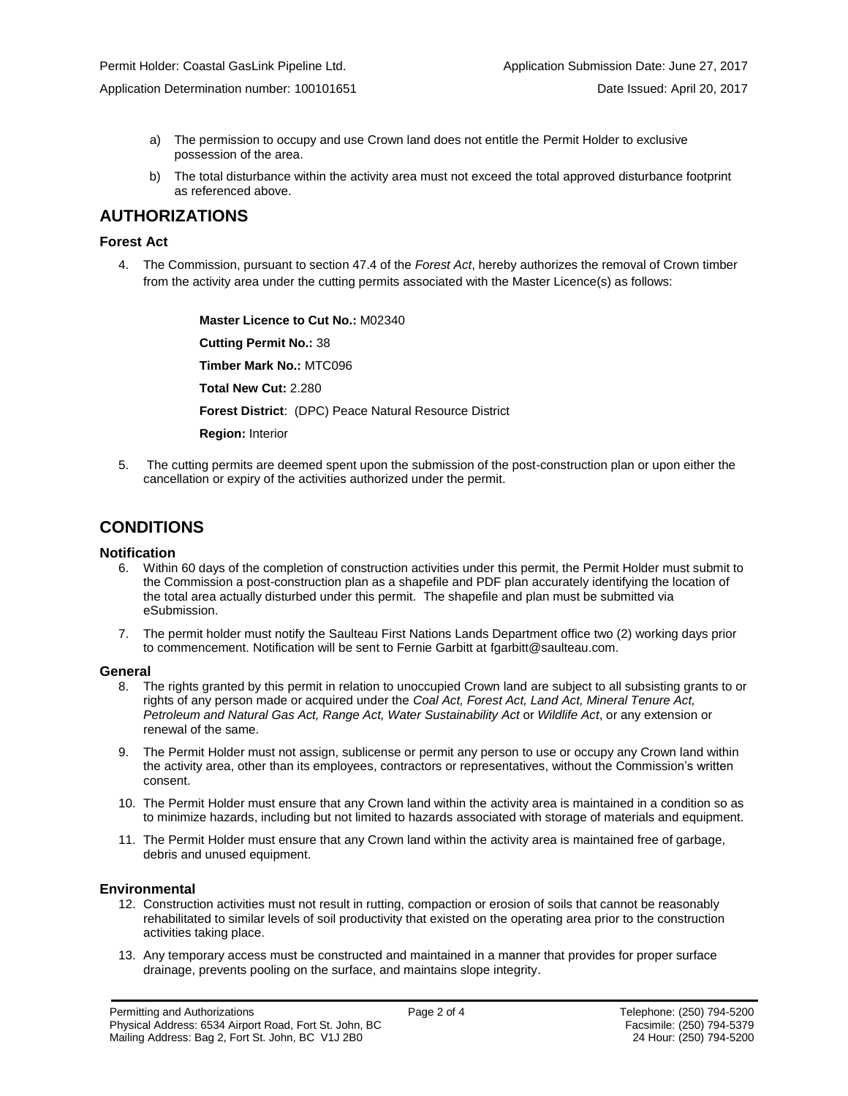Application Determination number: 100101651 Date Issued: April 20, 2017

- a) The permission to occupy and use Crown land does not entitle the Permit Holder to exclusive possession of the area.
- b) The total disturbance within the activity area must not exceed the total approved disturbance footprint as referenced above.

## **AUTHORIZATIONS**

#### **Forest Act**

4. The Commission, pursuant to section 47.4 of the *Forest Act*, hereby authorizes the removal of Crown timber from the activity area under the cutting permits associated with the Master Licence(s) as follows:

> **[Master Licence to Cut No.:](#page-0-0)** M02340 **[Cutting Permit No.:](#page-0-0)** 38 **[Timber Mark No.:](#page-0-0)** MTC096 **[Total New Cut:](#page-0-0)** 2.280 **[Forest District](https://ams-crd.bcogc.ca/crd/)**: (DPC) Peace Natural Resource District **Region:** Interior

5. The cutting permits are deemed spent upon the submission of the post-construction plan or upon either the cancellation or expiry of the activities authorized under the permit.

## **CONDITIONS**

#### **Notification**

- 6. Within 60 days of the completion of construction activities under this permit, the Permit Holder must submit to the Commission a post-construction plan as a shapefile and PDF plan accurately identifying the location of the total area actually disturbed under this permit. The shapefile and plan must be submitted via eSubmission.
- 7. The permit holder must notify the Saulteau First Nations Lands Department office two (2) working days prior to commencement. Notification will be sent to Fernie Garbitt at [fgarbitt@saulteau.com.](mailto:fgarbitt@saulteau.com)

#### **General**

- 8. The rights granted by this permit in relation to unoccupied Crown land are subject to all subsisting grants to or rights of any person made or acquired under the *Coal Act, Forest Act, Land Act, Mineral Tenure Act, Petroleum and Natural Gas Act, Range Act, Water Sustainability Act* or *Wildlife Act*, or any extension or renewal of the same.
- 9. The Permit Holder must not assign, sublicense or permit any person to use or occupy any Crown land within the activity area, other than its employees, contractors or representatives, without the Commission's written consent.
- 10. The Permit Holder must ensure that any Crown land within the activity area is maintained in a condition so as to minimize hazards, including but not limited to hazards associated with storage of materials and equipment.
- 11. The Permit Holder must ensure that any Crown land within the activity area is maintained free of garbage, debris and unused equipment.

#### **Environmental**

- 12. Construction activities must not result in rutting, compaction or erosion of soils that cannot be reasonably rehabilitated to similar levels of soil productivity that existed on the operating area prior to the construction activities taking place.
- 13. Any temporary access must be constructed and maintained in a manner that provides for proper surface drainage, prevents pooling on the surface, and maintains slope integrity.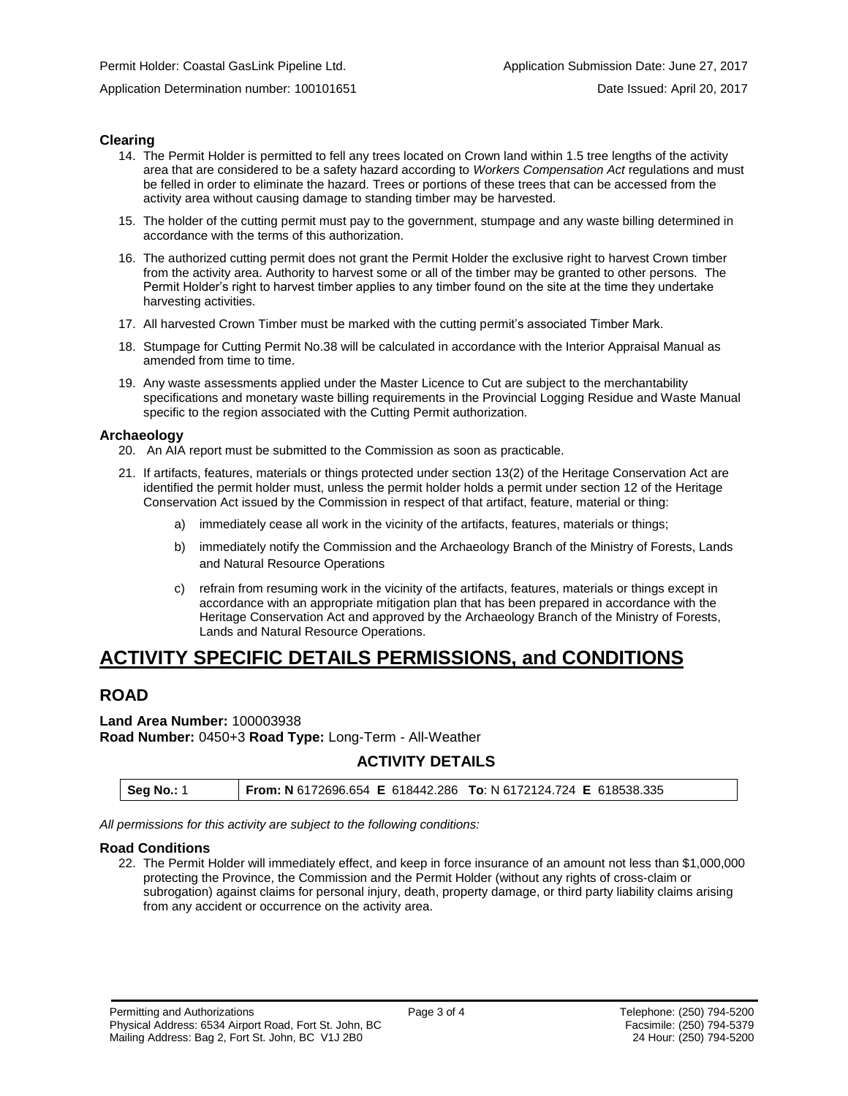Application Determination number: 100101651 Date Issued: April 20, 2017

#### **Clearing**

- 14. The Permit Holder is permitted to fell any trees located on Crown land within 1.5 tree lengths of the activity area that are considered to be a safety hazard according to *Workers Compensation Act* regulations and must be felled in order to eliminate the hazard. Trees or portions of these trees that can be accessed from the activity area without causing damage to standing timber may be harvested.
- 15. The holder of the cutting permit must pay to the government, stumpage and any waste billing determined in accordance with the terms of this authorization.
- 16. The authorized cutting permit does not grant the Permit Holder the exclusive right to harvest Crown timber from the activity area. Authority to harvest some or all of the timber may be granted to other persons. The Permit Holder's right to harvest timber applies to any timber found on the site at the time they undertake harvesting activities.
- 17. All harvested Crown Timber must be marked with the cutting permit's associated Timber Mark.
- 18. Stumpage for Cutting Permit No.38 will be calculated in accordance with the Interior Appraisal Manual as amended from time to time.
- 19. Any waste assessments applied under the Master Licence to Cut are subject to the merchantability specifications and monetary waste billing requirements in the Provincial Logging Residue and Waste Manual specific to the region associated with the Cutting Permit authorization.

#### **Archaeology**

20. An AIA report must be submitted to the Commission as soon as practicable.

- 21. If artifacts, features, materials or things protected under section 13(2) of the Heritage Conservation Act are identified the permit holder must, unless the permit holder holds a permit under section 12 of the Heritage Conservation Act issued by the Commission in respect of that artifact, feature, material or thing:
	- a) immediately cease all work in the vicinity of the artifacts, features, materials or things;
	- b) immediately notify the Commission and the Archaeology Branch of the Ministry of Forests, Lands and Natural Resource Operations
	- c) refrain from resuming work in the vicinity of the artifacts, features, materials or things except in accordance with an appropriate mitigation plan that has been prepared in accordance with the Heritage Conservation Act and approved by the Archaeology Branch of the Ministry of Forests, Lands and Natural Resource Operations.

## **ACTIVITY SPECIFIC DETAILS PERMISSIONS, and CONDITIONS**

## **ROAD**

#### **Land Area Number:** 100003938

**Road Number:** 0450+3 **Road Type:** Long-Term - All-Weather

### **ACTIVITY DETAILS**

| <b>Seg No.: 1</b> | From: N 6172696.654 E 618442.286 To: N 6172124.724 E 618538.335 |
|-------------------|-----------------------------------------------------------------|

*All permissions for this activity are subject to the following conditions:*

#### **Road Conditions**

22. The Permit Holder will immediately effect, and keep in force insurance of an amount not less than \$1,000,000 protecting the Province, the Commission and the Permit Holder (without any rights of cross-claim or subrogation) against claims for personal injury, death, property damage, or third party liability claims arising from any accident or occurrence on the activity area.